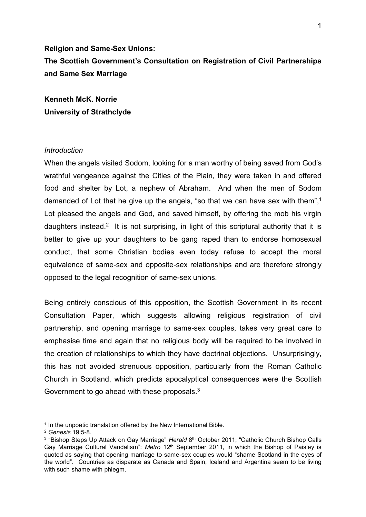# **Religion and Same-Sex Unions: The Scottish Government's Consultation on Registration of Civil Partnerships and Same Sex Marriage**

**Kenneth McK. Norrie University of Strathclyde**

### *Introduction*

When the angels visited Sodom, looking for a man worthy of being saved from God's wrathful vengeance against the Cities of the Plain, they were taken in and offered food and shelter by Lot, a nephew of Abraham. And when the men of Sodom demanded of Lot that he give up the angels, "so that we can have sex with them",<sup>1</sup> Lot pleased the angels and God, and saved himself, by offering the mob his virgin daughters instead.<sup>2</sup> It is not surprising, in light of this scriptural authority that it is better to give up your daughters to be gang raped than to endorse homosexual conduct, that some Christian bodies even today refuse to accept the moral equivalence of same-sex and opposite-sex relationships and are therefore strongly opposed to the legal recognition of same-sex unions.

Being entirely conscious of this opposition, the Scottish Government in its recent Consultation Paper, which suggests allowing religious registration of civil partnership, and opening marriage to same-sex couples, takes very great care to emphasise time and again that no religious body will be required to be involved in the creation of relationships to which they have doctrinal objections. Unsurprisingly, this has not avoided strenuous opposition, particularly from the Roman Catholic Church in Scotland, which predicts apocalyptical consequences were the Scottish Government to go ahead with these proposals.<sup>3</sup>

1

<sup>&</sup>lt;sup>1</sup> In the unpoetic translation offered by the New International Bible.

<sup>2</sup> *Genesis* 19:5-8.

<sup>&</sup>lt;sup>3</sup> "Bishop Steps Up Attack on Gay Marriage" *Herald* 8<sup>th</sup> October 2011; "Catholic Church Bishop Calls Gay Marriage Cultural Vandalism": *Metro* 12th September 2011, in which the Bishop of Paisley is quoted as saying that opening marriage to same-sex couples would "shame Scotland in the eyes of the world". Countries as disparate as Canada and Spain, Iceland and Argentina seem to be living with such shame with phlegm.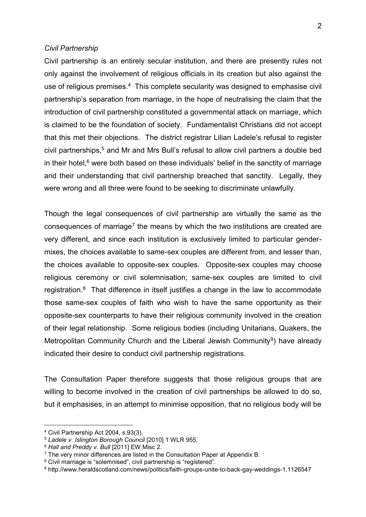#### *Civil Partnership*

Civil partnership is an entirely secular institution, and there are presently rules not only against the involvement of religious officials in its creation but also against the use of religious premises.<sup>4</sup> This complete secularity was designed to emphasise civil partnership's separation from marriage, in the hope of neutralising the claim that the introduction of civil partnership constituted a governmental attack on marriage, which is claimed to be the foundation of society. Fundamentalist Christians did not accept that this met their objections. The district registrar Lilian Ladele's refusal to register civil partnerships,<sup>5</sup> and Mr and Mrs Bull's refusal to allow civil partners a double bed in their hotel, $6$  were both based on these individuals' belief in the sanctity of marriage and their understanding that civil partnership breached that sanctity. Legally, they were wrong and all three were found to be seeking to discriminate unlawfully.

Though the legal consequences of civil partnership are virtually the same as the consequences of marriage<sup>7</sup> the means by which the two institutions are created are very different, and since each institution is exclusively limited to particular gendermixes, the choices available to same-sex couples are different from, and lesser than, the choices available to opposite-sex couples. Opposite-sex couples may choose religious ceremony or civil solemnisation; same-sex couples are limited to civil registration.<sup>8</sup> That difference in itself justifies a change in the law to accommodate those same-sex couples of faith who wish to have the same opportunity as their opposite-sex counterparts to have their religious community involved in the creation of their legal relationship. Some religious bodies (including Unitarians, Quakers, the Metropolitan Community Church and the Liberal Jewish Community<sup>9</sup>) have already indicated their desire to conduct civil partnership registrations.

The Consultation Paper therefore suggests that those religious groups that are willing to become involved in the creation of civil partnerships be allowed to do so, but it emphasises, in an attempt to minimise opposition, that no religious body will be

1

<sup>4</sup> Civil Partnership Act 2004, s.93(3).

<sup>5</sup> *Ladele v. Islington Borough Council* [2010] 1 WLR 955.

<sup>6</sup> *Hall and Preddy v. Bull* [2011] EW Misc 2.

<sup>&</sup>lt;sup>7</sup> The very minor differences are listed in the Consultation Paper at Appendix B.

<sup>8</sup> Civil marriage is "solemnised", civil partnership is "registered".

<sup>9</sup> http://www.heraldscotland.com/news/politics/faith-groups-unite-to-back-gay-weddings-1.1126547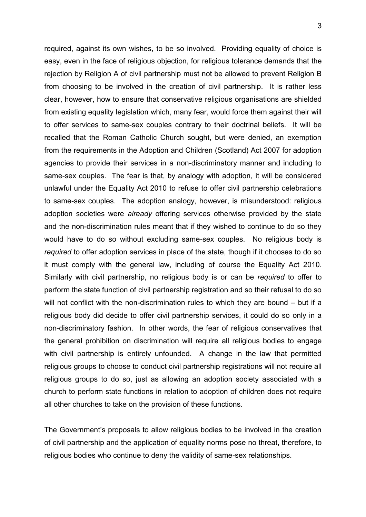required, against its own wishes, to be so involved. Providing equality of choice is easy, even in the face of religious objection, for religious tolerance demands that the rejection by Religion A of civil partnership must not be allowed to prevent Religion B from choosing to be involved in the creation of civil partnership. It is rather less clear, however, how to ensure that conservative religious organisations are shielded from existing equality legislation which, many fear, would force them against their will to offer services to same-sex couples contrary to their doctrinal beliefs. It will be recalled that the Roman Catholic Church sought, but were denied, an exemption from the requirements in the Adoption and Children (Scotland) Act 2007 for adoption agencies to provide their services in a non-discriminatory manner and including to same-sex couples. The fear is that, by analogy with adoption, it will be considered unlawful under the Equality Act 2010 to refuse to offer civil partnership celebrations to same-sex couples. The adoption analogy, however, is misunderstood: religious adoption societies were *already* offering services otherwise provided by the state and the non-discrimination rules meant that if they wished to continue to do so they would have to do so without excluding same-sex couples. No religious body is *required* to offer adoption services in place of the state, though if it chooses to do so it must comply with the general law, including of course the Equality Act 2010. Similarly with civil partnership, no religious body is or can be *required* to offer to perform the state function of civil partnership registration and so their refusal to do so will not conflict with the non-discrimination rules to which they are bound – but if a religious body did decide to offer civil partnership services, it could do so only in a non-discriminatory fashion. In other words, the fear of religious conservatives that the general prohibition on discrimination will require all religious bodies to engage with civil partnership is entirely unfounded. A change in the law that permitted religious groups to choose to conduct civil partnership registrations will not require all religious groups to do so, just as allowing an adoption society associated with a church to perform state functions in relation to adoption of children does not require all other churches to take on the provision of these functions.

The Government's proposals to allow religious bodies to be involved in the creation of civil partnership and the application of equality norms pose no threat, therefore, to religious bodies who continue to deny the validity of same-sex relationships.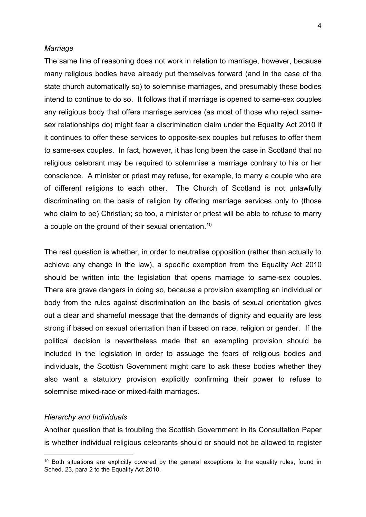#### *Marriage*

The same line of reasoning does not work in relation to marriage, however, because many religious bodies have already put themselves forward (and in the case of the state church automatically so) to solemnise marriages, and presumably these bodies intend to continue to do so. It follows that if marriage is opened to same-sex couples any religious body that offers marriage services (as most of those who reject samesex relationships do) might fear a discrimination claim under the Equality Act 2010 if it continues to offer these services to opposite-sex couples but refuses to offer them to same-sex couples. In fact, however, it has long been the case in Scotland that no religious celebrant may be required to solemnise a marriage contrary to his or her conscience. A minister or priest may refuse, for example, to marry a couple who are of different religions to each other. The Church of Scotland is not unlawfully discriminating on the basis of religion by offering marriage services only to (those who claim to be) Christian; so too, a minister or priest will be able to refuse to marry a couple on the ground of their sexual orientation.<sup>10</sup>

The real question is whether, in order to neutralise opposition (rather than actually to achieve any change in the law), a specific exemption from the Equality Act 2010 should be written into the legislation that opens marriage to same-sex couples. There are grave dangers in doing so, because a provision exempting an individual or body from the rules against discrimination on the basis of sexual orientation gives out a clear and shameful message that the demands of dignity and equality are less strong if based on sexual orientation than if based on race, religion or gender. If the political decision is nevertheless made that an exempting provision should be included in the legislation in order to assuage the fears of religious bodies and individuals, the Scottish Government might care to ask these bodies whether they also want a statutory provision explicitly confirming their power to refuse to solemnise mixed-race or mixed-faith marriages.

#### *Hierarchy and Individuals*

1

Another question that is troubling the Scottish Government in its Consultation Paper is whether individual religious celebrants should or should not be allowed to register

 $10$  Both situations are explicitly covered by the general exceptions to the equality rules, found in Sched. 23, para 2 to the Equality Act 2010.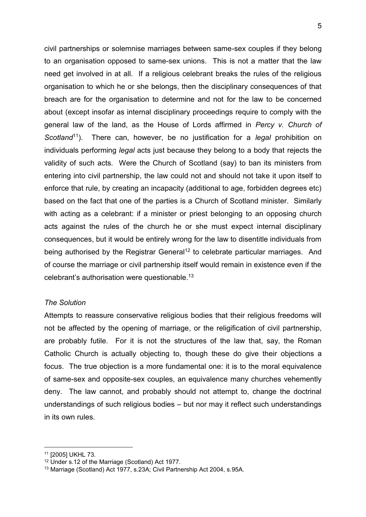civil partnerships or solemnise marriages between same-sex couples if they belong to an organisation opposed to same-sex unions. This is not a matter that the law need get involved in at all. If a religious celebrant breaks the rules of the religious organisation to which he or she belongs, then the disciplinary consequences of that breach are for the organisation to determine and not for the law to be concerned about (except insofar as internal disciplinary proceedings require to comply with the general law of the land, as the House of Lords affirmed in *Percy v. Church of Scotland*<sup>11</sup>). There can, however, be no justification for a *legal* prohibition on individuals performing *legal* acts just because they belong to a body that rejects the validity of such acts. Were the Church of Scotland (say) to ban its ministers from entering into civil partnership, the law could not and should not take it upon itself to enforce that rule, by creating an incapacity (additional to age, forbidden degrees etc) based on the fact that one of the parties is a Church of Scotland minister. Similarly with acting as a celebrant: if a minister or priest belonging to an opposing church acts against the rules of the church he or she must expect internal disciplinary consequences, but it would be entirely wrong for the law to disentitle individuals from being authorised by the Registrar General<sup>12</sup> to celebrate particular marriages. And of course the marriage or civil partnership itself would remain in existence even if the celebrant's authorisation were questionable. 13

## *The Solution*

Attempts to reassure conservative religious bodies that their religious freedoms will not be affected by the opening of marriage, or the religification of civil partnership, are probably futile. For it is not the structures of the law that, say, the Roman Catholic Church is actually objecting to, though these do give their objections a focus. The true objection is a more fundamental one: it is to the moral equivalence of same-sex and opposite-sex couples, an equivalence many churches vehemently deny. The law cannot, and probably should not attempt to, change the doctrinal understandings of such religious bodies – but nor may it reflect such understandings in its own rules.

1

<sup>11</sup> [2005] UKHL 73.

<sup>&</sup>lt;sup>12</sup> Under s.12 of the Marriage (Scotland) Act 1977.

<sup>13</sup> Marriage (Scotland) Act 1977, s.23A; Civil Partnership Act 2004, s.95A.